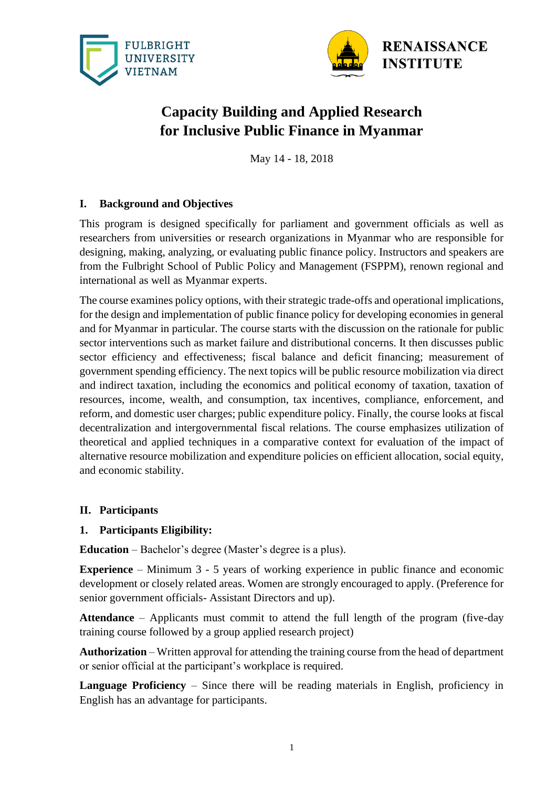



# **Capacity Building and Applied Research for Inclusive Public Finance in Myanmar**

May 14 - 18, 2018

# **I. Background and Objectives**

This program is designed specifically for parliament and government officials as well as researchers from universities or research organizations in Myanmar who are responsible for designing, making, analyzing, or evaluating public finance policy. Instructors and speakers are from the Fulbright School of Public Policy and Management (FSPPM), renown regional and international as well as Myanmar experts.

The course examines policy options, with their strategic trade-offs and operational implications, for the design and implementation of public finance policy for developing economies in general and for Myanmar in particular. The course starts with the discussion on the rationale for public sector interventions such as market failure and distributional concerns. It then discusses public sector efficiency and effectiveness; fiscal balance and deficit financing; measurement of government spending efficiency. The next topics will be public resource mobilization via direct and indirect taxation, including the economics and political economy of taxation, taxation of resources, income, wealth, and consumption, tax incentives, compliance, enforcement, and reform, and domestic user charges; public expenditure policy. Finally, the course looks at fiscal decentralization and intergovernmental fiscal relations. The course emphasizes utilization of theoretical and applied techniques in a comparative context for evaluation of the impact of alternative resource mobilization and expenditure policies on efficient allocation, social equity, and economic stability.

#### **II. Participants**

#### **1. Participants Eligibility:**

**Education** – Bachelor's degree (Master's degree is a plus).

**Experience** – Minimum 3 - 5 years of working experience in public finance and economic development or closely related areas. Women are strongly encouraged to apply. (Preference for senior government officials- Assistant Directors and up).

**Attendance** – Applicants must commit to attend the full length of the program (five-day training course followed by a group applied research project)

**Authorization** – Written approval for attending the training course from the head of department or senior official at the participant's workplace is required.

**Language Proficiency** – Since there will be reading materials in English, proficiency in English has an advantage for participants.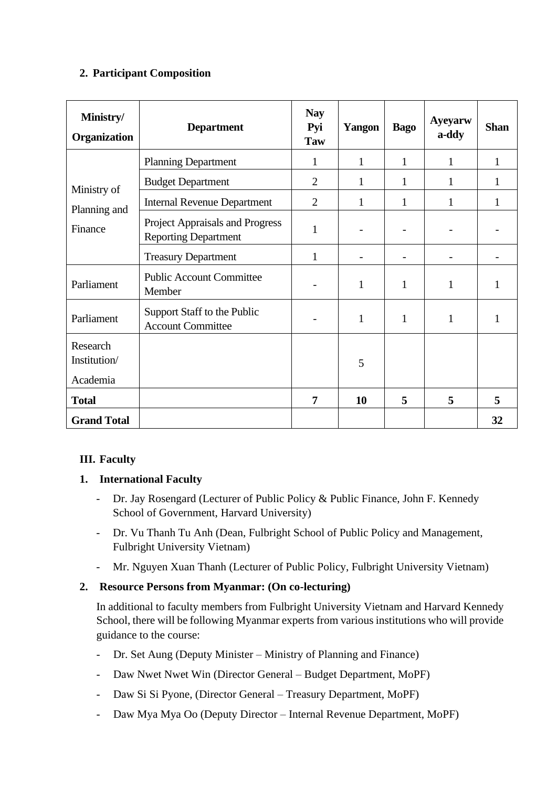# **2. Participant Composition**

| Ministry/<br>Organization              | <b>Department</b>                                                     | <b>Nay</b><br>Pyi<br><b>Taw</b> | Yangon       | <b>Bago</b>  | <b>Ayeyarw</b><br>a-ddy | <b>Shan</b> |
|----------------------------------------|-----------------------------------------------------------------------|---------------------------------|--------------|--------------|-------------------------|-------------|
| Ministry of<br>Planning and<br>Finance | <b>Planning Department</b>                                            | 1                               | $\mathbf{1}$ | $\mathbf{1}$ | 1                       | 1           |
|                                        | <b>Budget Department</b>                                              | $\overline{2}$                  | 1            | 1            | 1                       | 1           |
|                                        | <b>Internal Revenue Department</b>                                    | $\overline{2}$                  | $\mathbf{1}$ | 1            | $\mathbf{1}$            | 1           |
|                                        | <b>Project Appraisals and Progress</b><br><b>Reporting Department</b> | 1                               |              |              |                         |             |
|                                        | <b>Treasury Department</b>                                            | 1                               |              |              |                         |             |
| Parliament                             | <b>Public Account Committee</b><br>Member                             |                                 | $\mathbf{1}$ | 1            | $\mathbf{1}$            | 1           |
| Parliament                             | Support Staff to the Public<br><b>Account Committee</b>               |                                 | $\mathbf{1}$ | 1            | $\mathbf{1}$            | 1           |
| Research<br>Institution/<br>Academia   |                                                                       |                                 | 5            |              |                         |             |
| <b>Total</b>                           |                                                                       | $\overline{7}$                  | 10           | 5            | 5                       | 5           |
| <b>Grand Total</b>                     |                                                                       |                                 |              |              |                         | 32          |

# **III. Faculty**

# **1. International Faculty**

- Dr. Jay Rosengard (Lecturer of Public Policy & Public Finance, John F. Kennedy School of Government, Harvard University)
- Dr. Vu Thanh Tu Anh (Dean, Fulbright School of Public Policy and Management, Fulbright University Vietnam)
- Mr. Nguyen Xuan Thanh (Lecturer of Public Policy, Fulbright University Vietnam)

# **2. Resource Persons from Myanmar: (On co-lecturing)**

In additional to faculty members from Fulbright University Vietnam and Harvard Kennedy School, there will be following Myanmar experts from various institutions who will provide guidance to the course:

- Dr. Set Aung (Deputy Minister Ministry of Planning and Finance)
- Daw Nwet Nwet Win (Director General Budget Department, MoPF)
- Daw Si Si Pyone, (Director General Treasury Department, MoPF)
- Daw Mya Mya Oo (Deputy Director Internal Revenue Department, MoPF)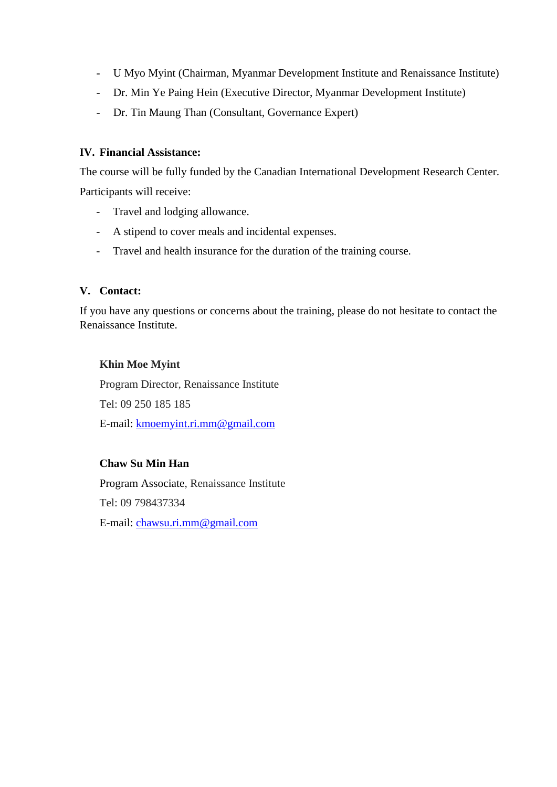- U Myo Myint (Chairman, Myanmar Development Institute and Renaissance Institute)
- Dr. Min Ye Paing Hein (Executive Director, Myanmar Development Institute)
- Dr. Tin Maung Than (Consultant, Governance Expert)

#### **IV. Financial Assistance:**

The course will be fully funded by the Canadian International Development Research Center. Participants will receive:

- Travel and lodging allowance.
- A stipend to cover meals and incidental expenses.
- Travel and health insurance for the duration of the training course.

#### **V. Contact:**

If you have any questions or concerns about the training, please do not hesitate to contact the Renaissance Institute.

#### **Khin Moe Myint**

Program Director, Renaissance Institute Tel: 09 250 185 185 E-mail: [kmoemyint.ri.mm@gmail.com](mailto:kmoemyint.ri.mm@gmail.com)

#### **Chaw Su Min Han**

Program Associate, Renaissance Institute Tel: 09 798437334 E-mail: [chawsu.ri.mm@gmail.com](mailto:chawsu.ri.mm@gmail.com)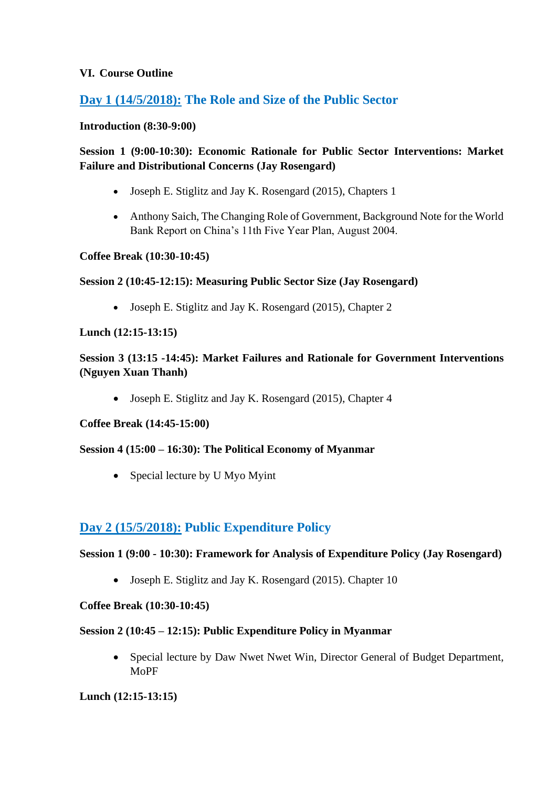#### **VI. Course Outline**

# **Day 1 (14/5/2018): The Role and Size of the Public Sector**

#### **Introduction (8:30-9:00)**

# **Session 1 (9:00-10:30): Economic Rationale for Public Sector Interventions: Market Failure and Distributional Concerns (Jay Rosengard)**

- Joseph E. Stiglitz and Jay K. Rosengard (2015), Chapters 1
- Anthony Saich, The Changing Role of Government, Background Note for the World Bank Report on China's 11th Five Year Plan, August 2004.

#### **Coffee Break (10:30-10:45)**

#### **Session 2 (10:45-12:15): Measuring Public Sector Size (Jay Rosengard)**

• Joseph E. Stiglitz and Jay K. Rosengard (2015), Chapter 2

#### **Lunch (12:15-13:15)**

# **Session 3 (13:15 -14:45): Market Failures and Rationale for Government Interventions (Nguyen Xuan Thanh)**

• Joseph E. Stiglitz and Jay K. Rosengard (2015), Chapter 4

#### **Coffee Break (14:45-15:00)**

#### **Session 4 (15:00 – 16:30): The Political Economy of Myanmar**

• Special lecture by U Myo Myint

# **Day 2 (15/5/2018): Public Expenditure Policy**

#### **Session 1 (9:00 - 10:30): Framework for Analysis of Expenditure Policy (Jay Rosengard)**

• Joseph E. Stiglitz and Jay K. Rosengard (2015). Chapter 10

#### **Coffee Break (10:30-10:45)**

#### **Session 2 (10:45 – 12:15): Public Expenditure Policy in Myanmar**

• Special lecture by Daw Nwet Nwet Win, Director General of Budget Department, MoPF

#### **Lunch (12:15-13:15)**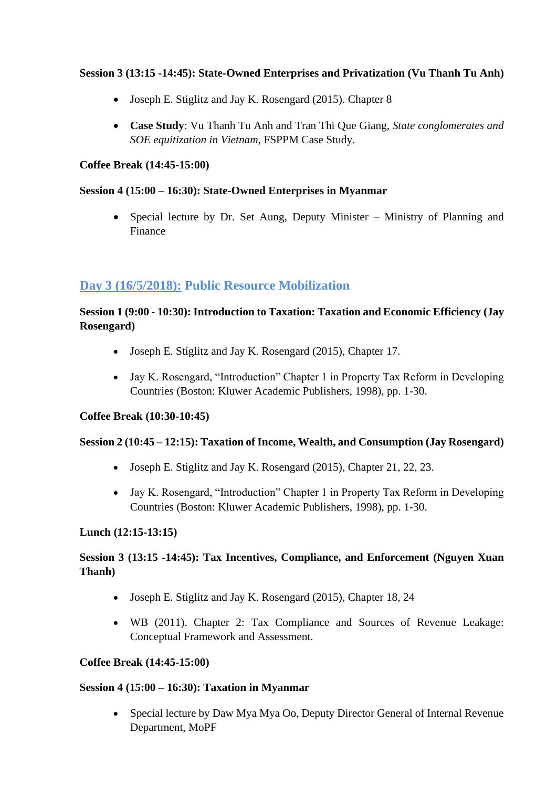# **Session 3 (13:15 -14:45): State-Owned Enterprises and Privatization (Vu Thanh Tu Anh)**

- Joseph E. Stiglitz and Jay K. Rosengard (2015). Chapter 8
- **Case Study**: Vu Thanh Tu Anh and Tran Thi Que Giang, *State conglomerates and SOE equitization in Vietnam*, FSPPM Case Study.

#### **Coffee Break (14:45-15:00)**

#### **Session 4 (15:00 – 16:30): State-Owned Enterprises in Myanmar**

• Special lecture by Dr. Set Aung, Deputy Minister – Ministry of Planning and Finance

# **Day 3 (16/5/2018): Public Resource Mobilization**

# **Session 1 (9:00 - 10:30): Introduction to Taxation: Taxation and Economic Efficiency (Jay Rosengard)**

- Joseph E. Stiglitz and Jay K. Rosengard (2015), Chapter 17.
- Jay K. Rosengard, "Introduction" Chapter 1 in Property Tax Reform in Developing Countries (Boston: Kluwer Academic Publishers, 1998), pp. 1-30.

#### **Coffee Break (10:30-10:45)**

#### **Session 2 (10:45 – 12:15): Taxation of Income, Wealth, and Consumption (Jay Rosengard)**

- Joseph E. Stiglitz and Jay K. Rosengard (2015), Chapter 21, 22, 23.
- Jay K. Rosengard, "Introduction" Chapter 1 in Property Tax Reform in Developing Countries (Boston: Kluwer Academic Publishers, 1998), pp. 1-30.

#### **Lunch (12:15-13:15)**

# **Session 3 (13:15 -14:45): Tax Incentives, Compliance, and Enforcement (Nguyen Xuan Thanh)**

- Joseph E. Stiglitz and Jay K. Rosengard (2015), Chapter 18, 24
- WB (2011). Chapter 2: Tax Compliance and Sources of Revenue Leakage: Conceptual Framework and Assessment.

#### **Coffee Break (14:45-15:00)**

#### **Session 4 (15:00 – 16:30): Taxation in Myanmar**

• Special lecture by Daw Mya Mya Oo, Deputy Director General of Internal Revenue Department, MoPF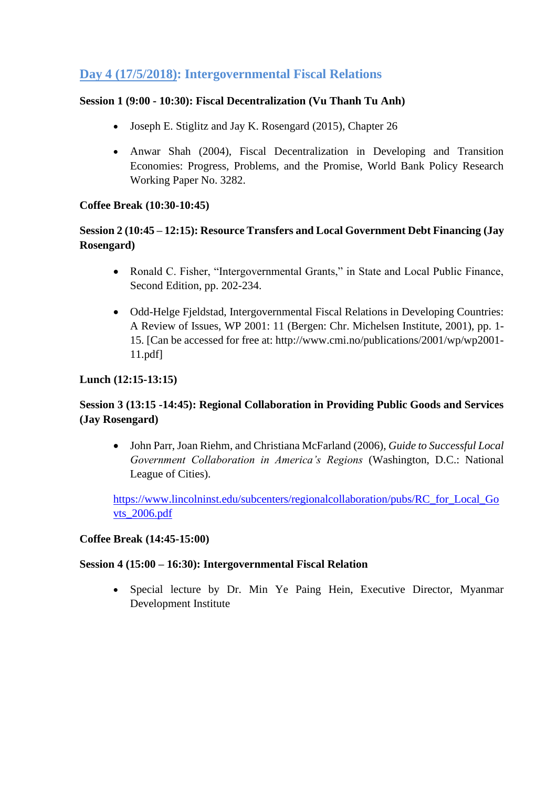# **Day 4 (17/5/2018): Intergovernmental Fiscal Relations**

#### **Session 1 (9:00 - 10:30): Fiscal Decentralization (Vu Thanh Tu Anh)**

- Joseph E. Stiglitz and Jay K. Rosengard (2015), Chapter 26
- Anwar Shah (2004), Fiscal Decentralization in Developing and Transition Economies: Progress, Problems, and the Promise, World Bank Policy Research Working Paper No. 3282.

#### **Coffee Break (10:30-10:45)**

# **Session 2 (10:45 – 12:15): Resource Transfers and Local Government Debt Financing (Jay Rosengard)**

- Ronald C. Fisher, "Intergovernmental Grants," in State and Local Public Finance, Second Edition, pp. 202-234.
- Odd-Helge Fjeldstad, Intergovernmental Fiscal Relations in Developing Countries: A Review of Issues, WP 2001: 11 (Bergen: Chr. Michelsen Institute, 2001), pp. 1- 15. [Can be accessed for free at: http://www.cmi.no/publications/2001/wp/wp2001- 11.pdf]

# **Lunch (12:15-13:15)**

# **Session 3 (13:15 -14:45): Regional Collaboration in Providing Public Goods and Services (Jay Rosengard)**

• John Parr, Joan Riehm, and Christiana McFarland (2006), *Guide to Successful Local Government Collaboration in America's Regions* (Washington, D.C.: National League of Cities).

[https://www.lincolninst.edu/subcenters/regionalcollaboration/pubs/RC\\_for\\_Local\\_Go](https://www.lincolninst.edu/subcenters/regionalcollaboration/pubs/RC_for_Local_Govts_2006.pdf) [vts\\_2006.pdf](https://www.lincolninst.edu/subcenters/regionalcollaboration/pubs/RC_for_Local_Govts_2006.pdf)

#### **Coffee Break (14:45-15:00)**

#### **Session 4 (15:00 – 16:30): Intergovernmental Fiscal Relation**

• Special lecture by Dr. Min Ye Paing Hein, Executive Director, Myanmar Development Institute